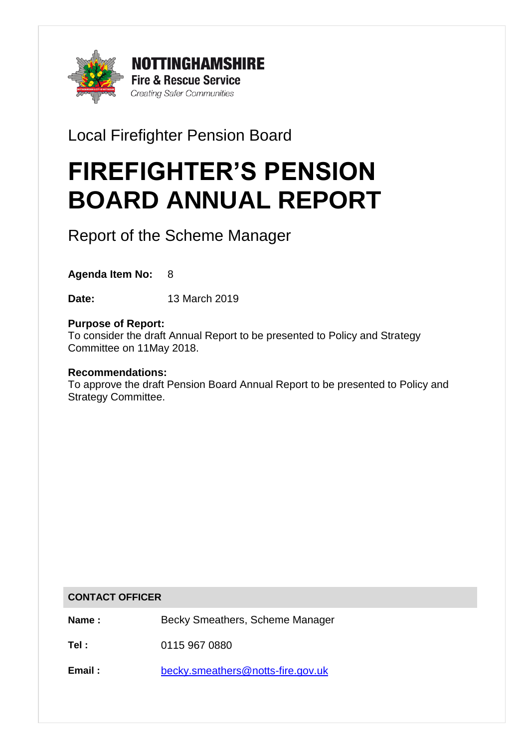

Local Firefighter Pension Board

# FIREFIGHTER'S PENSION BOARD ANNUAL REPORT

Report of the Scheme Manager

**Agenda Item No:** 8

**Date:** 13 March 2019

# **Purpose of Report:**

To consider the draft Annual Report to be presented to Policy and Strategy Committee on 11May 2018.

## **Recommendations:**

To approve the draft Pension Board Annual Report to be presented to Policy and Strategy Committee.

## **CONTACT OFFICER**

**Name :** Becky Smeathers, Scheme Manager

**Tel :** 0115 967 0880

**Email :** [becky.smeathers@notts-fire.gov.uk](mailto:becky.smeathers@notts-fire.gov.uk)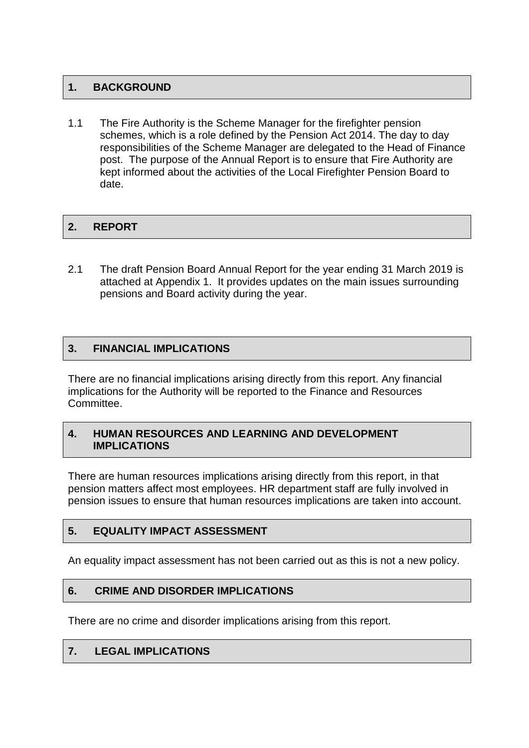# **1. BACKGROUND**

1.1 The Fire Authority is the Scheme Manager for the firefighter pension schemes, which is a role defined by the Pension Act 2014. The day to day responsibilities of the Scheme Manager are delegated to the Head of Finance post. The purpose of the Annual Report is to ensure that Fire Authority are kept informed about the activities of the Local Firefighter Pension Board to date.

# 2. REPORT

2.1 The draft Pension Board Annual Report for the year ending 31 March 2019 is attached at Appendix 1. It provides updates on the main issues surrounding pensions and Board activity during the year.

# **3. FINANCIAL IMPLICATIONS**

There are no financial implications arising directly from this report. Any financial implications for the Authority will be reported to the Finance and Resources Committee.

## **4. HUMAN RESOURCES AND LEARNING AND DEVELOPMENT IMPLICATIONS**

There are human resources implications arising directly from this report, in that pension matters affect most employees. HR department staff are fully involved in pension issues to ensure that human resources implications are taken into account.

## **5. EQUALITY IMPACT ASSESSMENT**

An equality impact assessment has not been carried out as this is not a new policy.

# **6. CRIME AND DISORDER IMPLICATIONS**

There are no crime and disorder implications arising from this report.

## **7. LEGAL IMPLICATIONS**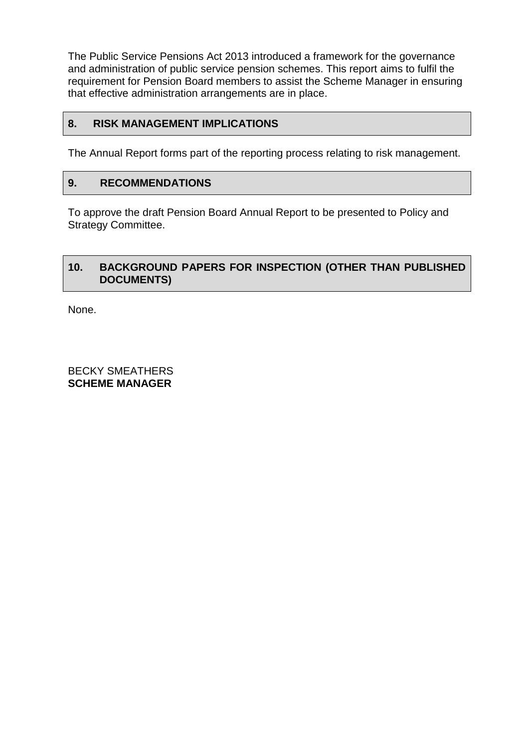The Public Service Pensions Act 2013 introduced a framework for the governance and administration of public service pension schemes. This report aims to fulfil the requirement for Pension Board members to assist the Scheme Manager in ensuring that effective administration arrangements are in place.

## **8. RISK MANAGEMENT IMPLICATIONS**

The Annual Report forms part of the reporting process relating to risk management.

## **9. RECOMMENDATIONS**

To approve the draft Pension Board Annual Report to be presented to Policy and Strategy Committee.

## **10. BACKGROUND PAPERS FOR INSPECTION (OTHER THAN PUBLISHED DOCUMENTS)**

None.

BECKY SMEATHERS **SCHEME MANAGER**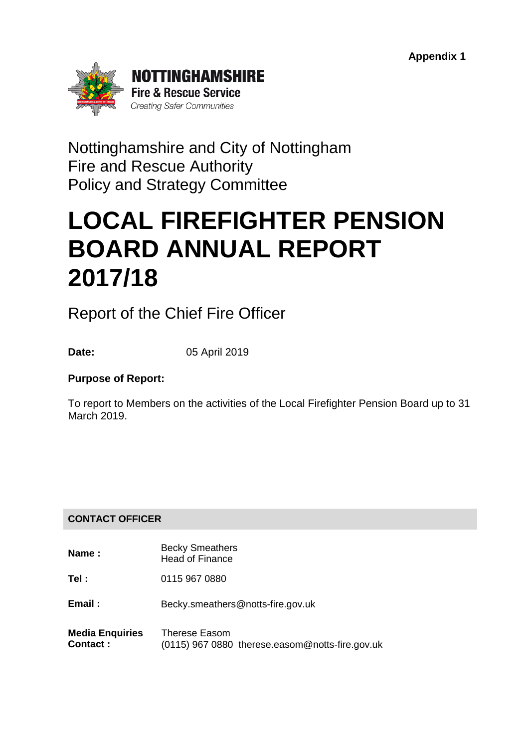

Nottinghamshire and City of Nottingham Fire and Rescue Authority Policy and Strategy Committee

# LOCAL FIREFIGHTER PENSION BOARD ANNUAL REPORT 2017/18

Report of the Chief Fire Officer

**Date:** 05 April 2019

# **Purpose of Report:**

To report to Members on the activities of the Local Firefighter Pension Board up to 31 March 2019.

# **CONTACT OFFICER**

- **Name :** Becky Smeathers Head of Finance
- **Tel :** 0115 967 0880
- **Email :** Becky.smeathers@notts-fire.gov.uk
- **Media Enquiries Contact :** Therese Easom (0115) 967 0880 therese.easom@notts-fire.gov.uk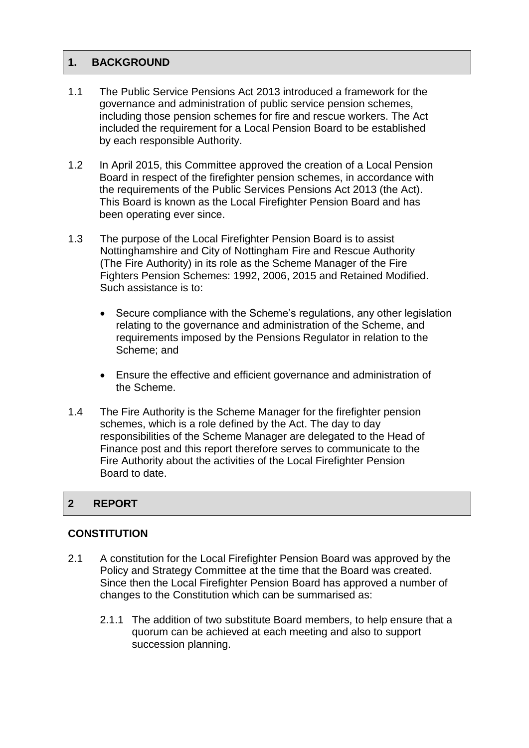# 1. BACKGROUND

- 1.1 The Public Service Pensions Act 2013 introduced a framework for the governance and administration of public service pension schemes, including those pension schemes for fire and rescue workers. The Act included the requirement for a Local Pension Board to be established by each responsible Authority.
- 1.2 In April 2015, this Committee approved the creation of a Local Pension Board in respect of the firefighter pension schemes, in accordance with the requirements of the Public Services Pensions Act 2013 (the Act). This Board is known as the Local Firefighter Pension Board and has been operating ever since.
- 1.3 The purpose of the Local Firefighter Pension Board is to assist Nottinghamshire and City of Nottingham Fire and Rescue Authority (The Fire Authority) in its role as the Scheme Manager of the Fire Fighters Pension Schemes: 1992, 2006, 2015 and Retained Modified. Such assistance is to:
	- Secure compliance with the Scheme's regulations, any other legislation relating to the governance and administration of the Scheme, and requirements imposed by the Pensions Regulator in relation to the Scheme; and
	- Ensure the effective and efficient governance and administration of the Scheme.
- 1.4 The Fire Authority is the Scheme Manager for the firefighter pension schemes, which is a role defined by the Act. The day to day responsibilities of the Scheme Manager are delegated to the Head of Finance post and this report therefore serves to communicate to the Fire Authority about the activities of the Local Firefighter Pension Board to date.

## 2 REPORT

## **CONSTITUTION**

- 2.1 A constitution for the Local Firefighter Pension Board was approved by the Policy and Strategy Committee at the time that the Board was created. Since then the Local Firefighter Pension Board has approved a number of changes to the Constitution which can be summarised as:
	- 2.1.1 The addition of two substitute Board members, to help ensure that a quorum can be achieved at each meeting and also to support succession planning.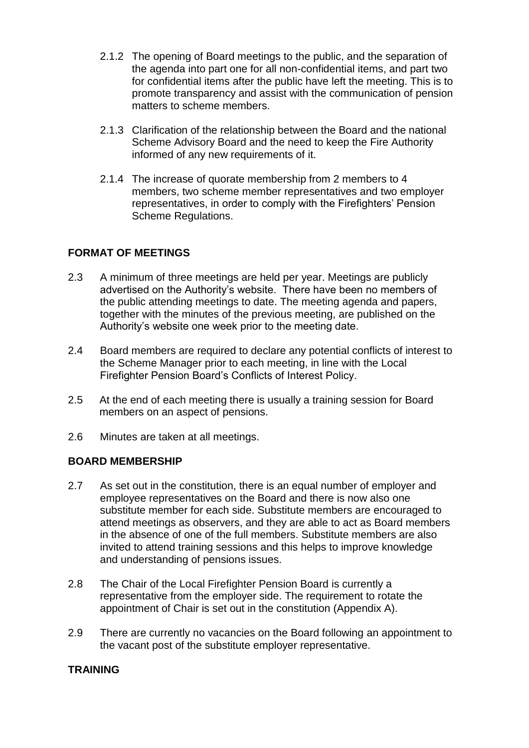- 2.1.2 The opening of Board meetings to the public, and the separation of the agenda into part one for all non-confidential items, and part two for confidential items after the public have left the meeting. This is to promote transparency and assist with the communication of pension matters to scheme members.
- 2.1.3 Clarification of the relationship between the Board and the national Scheme Advisory Board and the need to keep the Fire Authority informed of any new requirements of it.
- 2.1.4 The increase of quorate membership from 2 members to 4 members, two scheme member representatives and two employer representatives, in order to comply with the Firefighters' Pension Scheme Regulations.

# **FORMAT OF MEETINGS**

- 2.3 A minimum of three meetings are held per year. Meetings are publicly advertised on the Authority's website. There have been no members of the public attending meetings to date. The meeting agenda and papers, together with the minutes of the previous meeting, are published on the Authority's website one week prior to the meeting date.
- 2.4 Board members are required to declare any potential conflicts of interest to the Scheme Manager prior to each meeting, in line with the Local Firefighter Pension Board's Conflicts of Interest Policy.
- 2.5 At the end of each meeting there is usually a training session for Board members on an aspect of pensions.
- 2.6 Minutes are taken at all meetings.

# **BOARD MEMBERSHIP**

- 2.7 As set out in the constitution, there is an equal number of employer and employee representatives on the Board and there is now also one substitute member for each side. Substitute members are encouraged to attend meetings as observers, and they are able to act as Board members in the absence of one of the full members. Substitute members are also invited to attend training sessions and this helps to improve knowledge and understanding of pensions issues.
- 2.8 The Chair of the Local Firefighter Pension Board is currently a representative from the employer side. The requirement to rotate the appointment of Chair is set out in the constitution (Appendix A).
- 2.9 There are currently no vacancies on the Board following an appointment to the vacant post of the substitute employer representative.

# **TRAINING**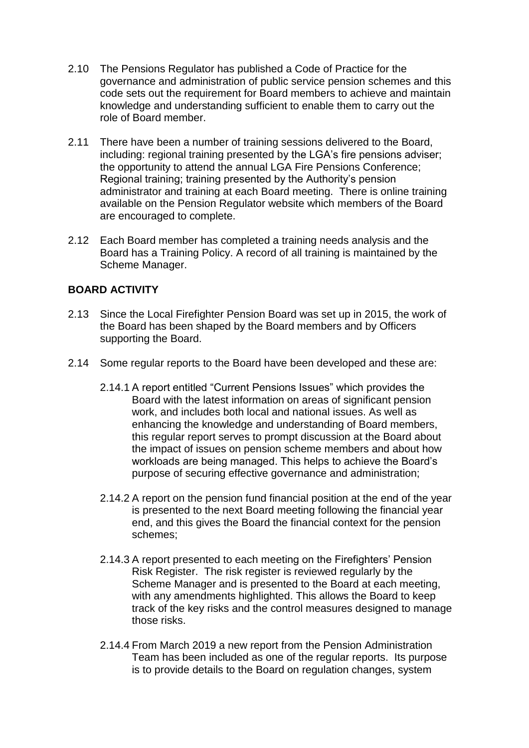- 2.10 The Pensions Regulator has published a Code of Practice for the governance and administration of public service pension schemes and this code sets out the requirement for Board members to achieve and maintain knowledge and understanding sufficient to enable them to carry out the role of Board member.
- 2.11 There have been a number of training sessions delivered to the Board, including: regional training presented by the LGA's fire pensions adviser; the opportunity to attend the annual LGA Fire Pensions Conference; Regional training; training presented by the Authority's pension administrator and training at each Board meeting. There is online training available on the Pension Regulator website which members of the Board are encouraged to complete.
- 2.12 Each Board member has completed a training needs analysis and the Board has a Training Policy. A record of all training is maintained by the Scheme Manager.

# **BOARD ACTIVITY**

- 2.13 Since the Local Firefighter Pension Board was set up in 2015, the work of the Board has been shaped by the Board members and by Officers supporting the Board.
- 2.14 Some regular reports to the Board have been developed and these are:
	- 2.14.1 A report entitled "Current Pensions Issues" which provides the Board with the latest information on areas of significant pension work, and includes both local and national issues. As well as enhancing the knowledge and understanding of Board members, this regular report serves to prompt discussion at the Board about the impact of issues on pension scheme members and about how workloads are being managed. This helps to achieve the Board's purpose of securing effective governance and administration;
	- 2.14.2 A report on the pension fund financial position at the end of the year is presented to the next Board meeting following the financial year end, and this gives the Board the financial context for the pension schemes;
	- 2.14.3 A report presented to each meeting on the Firefighters' Pension Risk Register. The risk register is reviewed regularly by the Scheme Manager and is presented to the Board at each meeting, with any amendments highlighted. This allows the Board to keep track of the key risks and the control measures designed to manage those risks.
	- 2.14.4 From March 2019 a new report from the Pension Administration Team has been included as one of the regular reports. Its purpose is to provide details to the Board on regulation changes, system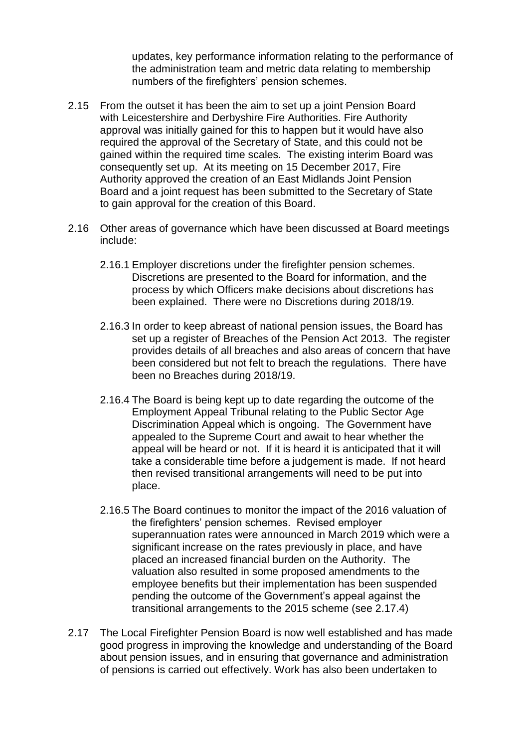updates, key performance information relating to the performance of the administration team and metric data relating to membership numbers of the firefighters' pension schemes.

- 2.15 From the outset it has been the aim to set up a joint Pension Board with Leicestershire and Derbyshire Fire Authorities. Fire Authority approval was initially gained for this to happen but it would have also required the approval of the Secretary of State, and this could not be gained within the required time scales. The existing interim Board was consequently set up. At its meeting on 15 December 2017, Fire Authority approved the creation of an East Midlands Joint Pension Board and a joint request has been submitted to the Secretary of State to gain approval for the creation of this Board.
- 2.16 Other areas of governance which have been discussed at Board meetings include:
	- 2.16.1 Employer discretions under the firefighter pension schemes. Discretions are presented to the Board for information, and the process by which Officers make decisions about discretions has been explained. There were no Discretions during 2018/19.
	- 2.16.3 In order to keep abreast of national pension issues, the Board has set up a register of Breaches of the Pension Act 2013. The register provides details of all breaches and also areas of concern that have been considered but not felt to breach the regulations. There have been no Breaches during 2018/19.
	- 2.16.4 The Board is being kept up to date regarding the outcome of the Employment Appeal Tribunal relating to the Public Sector Age Discrimination Appeal which is ongoing. The Government have appealed to the Supreme Court and await to hear whether the appeal will be heard or not. If it is heard it is anticipated that it will take a considerable time before a judgement is made. If not heard then revised transitional arrangements will need to be put into place.
	- 2.16.5 The Board continues to monitor the impact of the 2016 valuation of the firefighters' pension schemes. Revised employer superannuation rates were announced in March 2019 which were a significant increase on the rates previously in place, and have placed an increased financial burden on the Authority. The valuation also resulted in some proposed amendments to the employee benefits but their implementation has been suspended pending the outcome of the Government's appeal against the transitional arrangements to the 2015 scheme (see 2.17.4)
- 2.17 The Local Firefighter Pension Board is now well established and has made good progress in improving the knowledge and understanding of the Board about pension issues, and in ensuring that governance and administration of pensions is carried out effectively. Work has also been undertaken to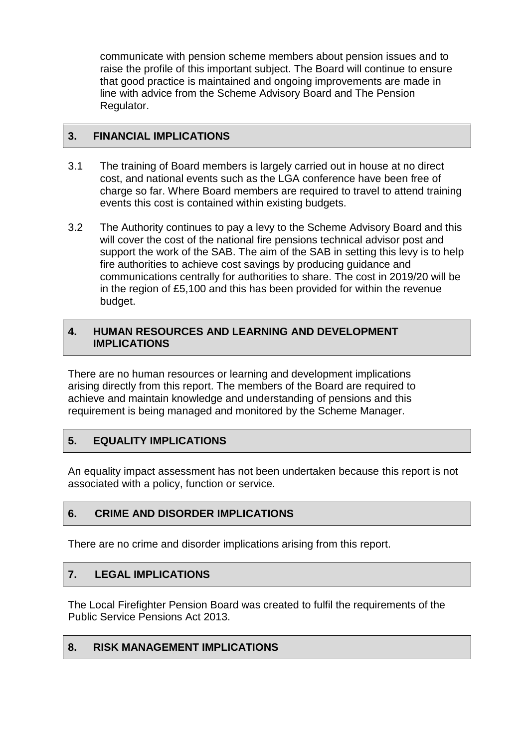communicate with pension scheme members about pension issues and to raise the profile of this important subject. The Board will continue to ensure that good practice is maintained and ongoing improvements are made in line with advice from the Scheme Advisory Board and The Pension Regulator.

# **3. FINANCIAL IMPLICATIONS**

- 3.1 The training of Board members is largely carried out in house at no direct cost, and national events such as the LGA conference have been free of charge so far. Where Board members are required to travel to attend training events this cost is contained within existing budgets.
- 3.2 The Authority continues to pay a levy to the Scheme Advisory Board and this will cover the cost of the national fire pensions technical advisor post and support the work of the SAB. The aim of the SAB in setting this levy is to help fire authorities to achieve cost savings by producing guidance and communications centrally for authorities to share. The cost in 2019/20 will be in the region of £5,100 and this has been provided for within the revenue budget.

# **4. HUMAN RESOURCES AND LEARNING AND DEVELOPMENT IMPLICATIONS**

There are no human resources or learning and development implications arising directly from this report. The members of the Board are required to achieve and maintain knowledge and understanding of pensions and this requirement is being managed and monitored by the Scheme Manager.

# **5. EQUALITY IMPLICATIONS**

An equality impact assessment has not been undertaken because this report is not associated with a policy, function or service.

# **6. CRIME AND DISORDER IMPLICATIONS**

There are no crime and disorder implications arising from this report.

# **7. LEGAL IMPLICATIONS**

The Local Firefighter Pension Board was created to fulfil the requirements of the Public Service Pensions Act 2013.

# **8. RISK MANAGEMENT IMPLICATIONS**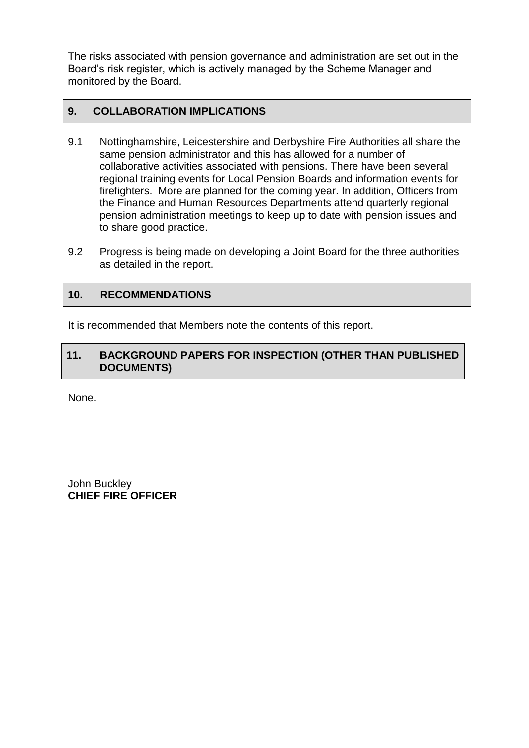The risks associated with pension governance and administration are set out in the Board's risk register, which is actively managed by the Scheme Manager and monitored by the Board.

# **9. COLLABORATION IMPLICATIONS**

- 9.1 Nottinghamshire, Leicestershire and Derbyshire Fire Authorities all share the same pension administrator and this has allowed for a number of collaborative activities associated with pensions. There have been several regional training events for Local Pension Boards and information events for firefighters. More are planned for the coming year. In addition, Officers from the Finance and Human Resources Departments attend quarterly regional pension administration meetings to keep up to date with pension issues and to share good practice.
- 9.2 Progress is being made on developing a Joint Board for the three authorities as detailed in the report.

# **10. RECOMMENDATIONS**

It is recommended that Members note the contents of this report.

# **11. BACKGROUND PAPERS FOR INSPECTION (OTHER THAN PUBLISHED DOCUMENTS)**

None.

John Buckley **CHIEF FIRE OFFICER**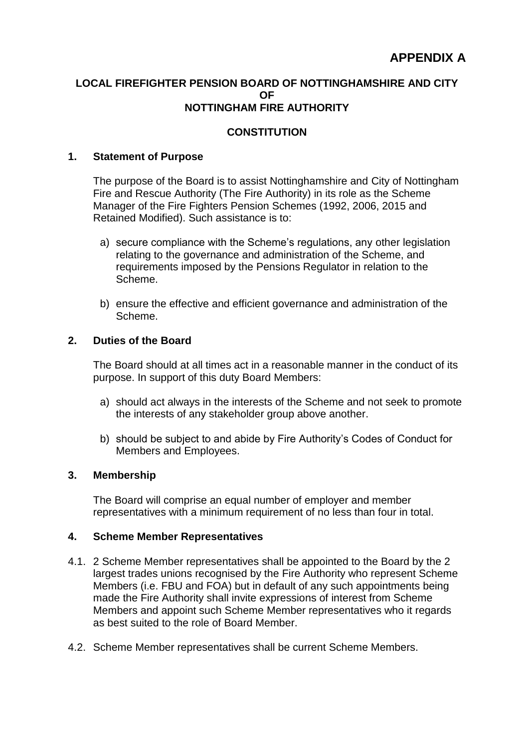## **LOCAL FIREFIGHTER PENSION BOARD OF NOTTINGHAMSHIRE AND CITY**   $\Omega$ **NOTTINGHAM FIRE AUTHORITY**

# **CONSTITUTION**

## **1. Statement of Purpose**

The purpose of the Board is to assist Nottinghamshire and City of Nottingham Fire and Rescue Authority (The Fire Authority) in its role as the Scheme Manager of the Fire Fighters Pension Schemes (1992, 2006, 2015 and Retained Modified). Such assistance is to:

- a) secure compliance with the Scheme's regulations, any other legislation relating to the governance and administration of the Scheme, and requirements imposed by the Pensions Regulator in relation to the Scheme.
- b) ensure the effective and efficient governance and administration of the Scheme.

## **2. Duties of the Board**

The Board should at all times act in a reasonable manner in the conduct of its purpose. In support of this duty Board Members:

- a) should act always in the interests of the Scheme and not seek to promote the interests of any stakeholder group above another.
- b) should be subject to and abide by Fire Authority's Codes of Conduct for Members and Employees.

## **3. Membership**

The Board will comprise an equal number of employer and member representatives with a minimum requirement of no less than four in total.

#### **4. Scheme Member Representatives**

- 4.1. 2 Scheme Member representatives shall be appointed to the Board by the 2 largest trades unions recognised by the Fire Authority who represent Scheme Members (i.e. FBU and FOA) but in default of any such appointments being made the Fire Authority shall invite expressions of interest from Scheme Members and appoint such Scheme Member representatives who it regards as best suited to the role of Board Member.
- 4.2. Scheme Member representatives shall be current Scheme Members.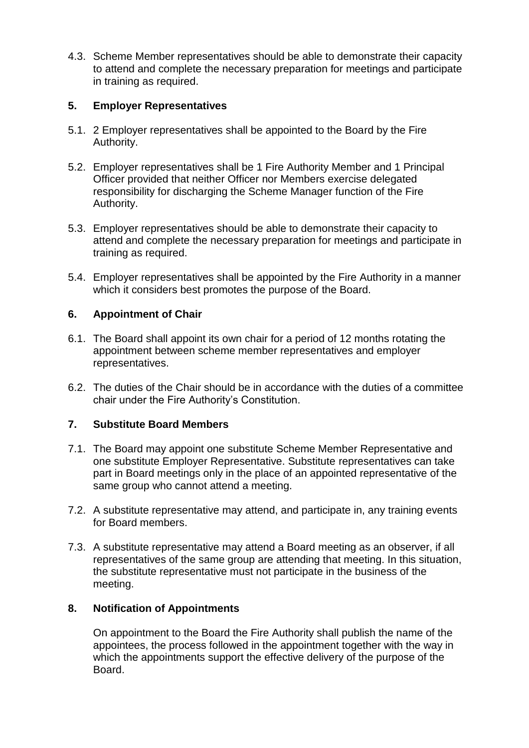4.3. Scheme Member representatives should be able to demonstrate their capacity to attend and complete the necessary preparation for meetings and participate in training as required.

## **5. Employer Representatives**

- 5.1. 2 Employer representatives shall be appointed to the Board by the Fire Authority.
- 5.2. Employer representatives shall be 1 Fire Authority Member and 1 Principal Officer provided that neither Officer nor Members exercise delegated responsibility for discharging the Scheme Manager function of the Fire Authority.
- 5.3. Employer representatives should be able to demonstrate their capacity to attend and complete the necessary preparation for meetings and participate in training as required.
- 5.4. Employer representatives shall be appointed by the Fire Authority in a manner which it considers best promotes the purpose of the Board.

## **6. Appointment of Chair**

- 6.1. The Board shall appoint its own chair for a period of 12 months rotating the appointment between scheme member representatives and employer representatives.
- 6.2. The duties of the Chair should be in accordance with the duties of a committee chair under the Fire Authority's Constitution.

# **7. Substitute Board Members**

- 7.1. The Board may appoint one substitute Scheme Member Representative and one substitute Employer Representative. Substitute representatives can take part in Board meetings only in the place of an appointed representative of the same group who cannot attend a meeting.
- 7.2. A substitute representative may attend, and participate in, any training events for Board members.
- 7.3. A substitute representative may attend a Board meeting as an observer, if all representatives of the same group are attending that meeting. In this situation, the substitute representative must not participate in the business of the meeting.

## **8. Notification of Appointments**

On appointment to the Board the Fire Authority shall publish the name of the appointees, the process followed in the appointment together with the way in which the appointments support the effective delivery of the purpose of the Board.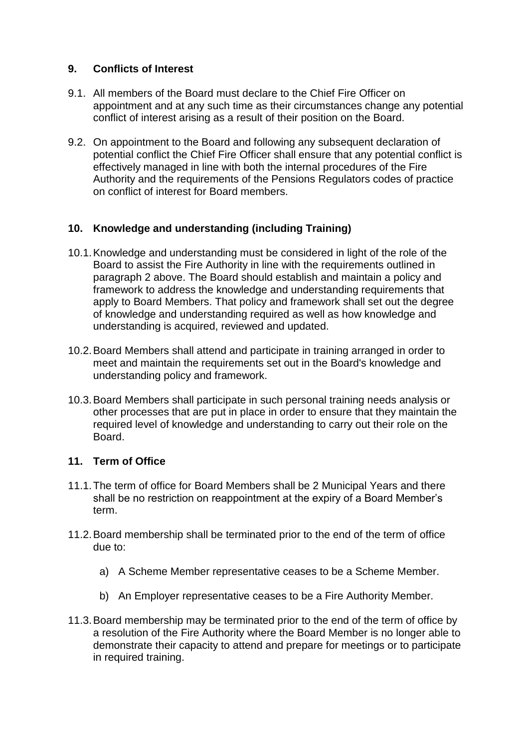## **9. Conflicts of Interest**

- 9.1. All members of the Board must declare to the Chief Fire Officer on appointment and at any such time as their circumstances change any potential conflict of interest arising as a result of their position on the Board.
- 9.2. On appointment to the Board and following any subsequent declaration of potential conflict the Chief Fire Officer shall ensure that any potential conflict is effectively managed in line with both the internal procedures of the Fire Authority and the requirements of the Pensions Regulators codes of practice on conflict of interest for Board members.

# **10. Knowledge and understanding (including Training)**

- 10.1.Knowledge and understanding must be considered in light of the role of the Board to assist the Fire Authority in line with the requirements outlined in paragraph 2 above. The Board should establish and maintain a policy and framework to address the knowledge and understanding requirements that apply to Board Members. That policy and framework shall set out the degree of knowledge and understanding required as well as how knowledge and understanding is acquired, reviewed and updated.
- 10.2.Board Members shall attend and participate in training arranged in order to meet and maintain the requirements set out in the Board's knowledge and understanding policy and framework.
- 10.3.Board Members shall participate in such personal training needs analysis or other processes that are put in place in order to ensure that they maintain the required level of knowledge and understanding to carry out their role on the Board.

# **11. Term of Office**

- 11.1.The term of office for Board Members shall be 2 Municipal Years and there shall be no restriction on reappointment at the expiry of a Board Member's term.
- 11.2.Board membership shall be terminated prior to the end of the term of office due to:
	- a) A Scheme Member representative ceases to be a Scheme Member.
	- b) An Employer representative ceases to be a Fire Authority Member.
- 11.3.Board membership may be terminated prior to the end of the term of office by a resolution of the Fire Authority where the Board Member is no longer able to demonstrate their capacity to attend and prepare for meetings or to participate in required training.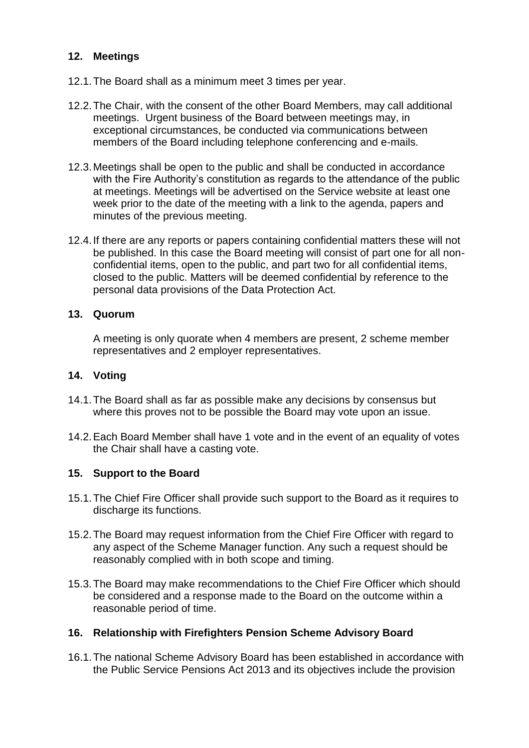# **12. Meetings**

- 12.1.The Board shall as a minimum meet 3 times per year.
- 12.2.The Chair, with the consent of the other Board Members, may call additional meetings. Urgent business of the Board between meetings may, in exceptional circumstances, be conducted via communications between members of the Board including telephone conferencing and e-mails.
- 12.3.Meetings shall be open to the public and shall be conducted in accordance with the Fire Authority's constitution as regards to the attendance of the public at meetings. Meetings will be advertised on the Service website at least one week prior to the date of the meeting with a link to the agenda, papers and minutes of the previous meeting.
- 12.4.If there are any reports or papers containing confidential matters these will not be published. In this case the Board meeting will consist of part one for all nonconfidential items, open to the public, and part two for all confidential items, closed to the public. Matters will be deemed confidential by reference to the personal data provisions of the Data Protection Act.

#### **13. Quorum**

A meeting is only quorate when 4 members are present, 2 scheme member representatives and 2 employer representatives.

## **14. Voting**

- 14.1.The Board shall as far as possible make any decisions by consensus but where this proves not to be possible the Board may vote upon an issue.
- 14.2.Each Board Member shall have 1 vote and in the event of an equality of votes the Chair shall have a casting vote.

## **15. Support to the Board**

- 15.1.The Chief Fire Officer shall provide such support to the Board as it requires to discharge its functions.
- 15.2.The Board may request information from the Chief Fire Officer with regard to any aspect of the Scheme Manager function. Any such a request should be reasonably complied with in both scope and timing.
- 15.3.The Board may make recommendations to the Chief Fire Officer which should be considered and a response made to the Board on the outcome within a reasonable period of time.

## **16. Relationship with Firefighters Pension Scheme Advisory Board**

16.1.The national Scheme Advisory Board has been established in accordance with the Public Service Pensions Act 2013 and its objectives include the provision